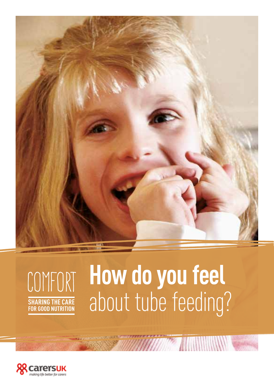



# **How do you feel**  COMFORT **How do you teel**

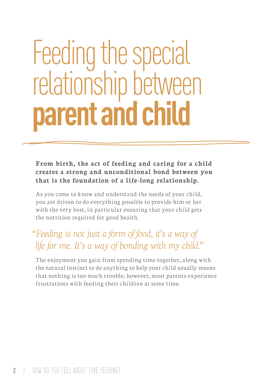# Feeding the special relationship between **parent and child**

**From birth, the act of feeding and caring for a child creates a strong and unconditional bond between you that is the foundation of a life-long relationship.**

As you come to know and understand the needs of your child, you are driven to do everything possible to provide him or her with the very best, in particular ensuring that your child gets the nutrition required for good health.

### *"Feeding is not just a form of food, it's a way of life for me. It's a way of bonding with my child."*

The enjoyment you gain from spending time together, along with the natural instinct to do anything to help your child usually means that nothing is too much trouble; however, most parents experience frustrations with feeding their children at some time.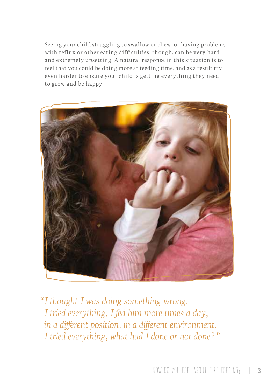Seeing your child struggling to swallow or chew, or having problems with reflux or other eating difficulties, though, can be very hard and extremely upsetting. A natural response in this situation is to feel that you could be doing more at feeding time, and as a result try even harder to ensure your child is getting everything they need to grow and be happy.



*"I thought I was doing something wrong. I tried everything, I fed him more times a day, in a different position, in a different environment. I tried everything, what had I done or not done? "*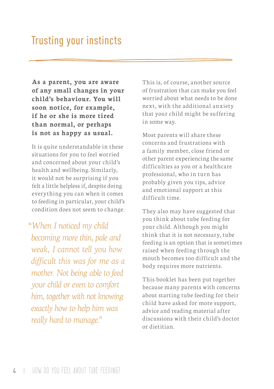**As a parent, you are aware of any small changes in your child's behaviour. You will soon notice, for example, if he or she is more tired than normal, or perhaps is not as happy as usual.**

It is quite understandable in these situations for you to feel worried and concerned about your child's health and wellbeing. Similarly, it would not be surprising if you felt a little helpless if, despite doing everything you can when it comes to feeding in particular, your child's condition does not seem to change.

*"When I noticed my child becoming more thin, pale and weak, I cannot tell you how difficult this was for me as a mother. Not being able to feed your child or even to comfort him, together with not knowing exactly how to help him was really hard to manage."* 

This is, of course, another source of frustration that can make you feel worried about what needs to be done next, with the additional anxiety that your child might be suffering in some way.

Most parents will share these concerns and frustrations with a family member, close friend or other parent experiencing the same difficulties as you or a healthcare professional, who in turn has probably given you tips, advice and emotional support at this difficult time.

They also may have suggested that you think about tube feeding for your child. Although you might think that it is not necessary, tube feeding is an option that is sometimes raised when feeding through the mouth becomes too difficult and the body requires more nutrients.

This booklet has been put together because many parents with concerns about starting tube feeding for their child have asked for more support, advice and reading material after discussions with their child's doctor or dietitian.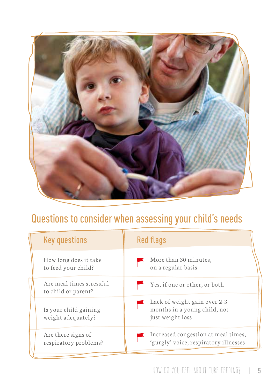

# Questions to consider when assessing your child's needs

| <b>Key questions</b>                            | <b>Red flags</b>                                                                 |  |  |
|-------------------------------------------------|----------------------------------------------------------------------------------|--|--|
| How long does it take<br>to feed your child?    | More than 30 minutes,<br>on a regular basis                                      |  |  |
| Are meal times stressful<br>to child or parent? | Yes, if one or other, or both                                                    |  |  |
| Is your child gaining<br>weight adequately?     | Lack of weight gain over 2-3<br>months in a young child, not<br>just weight loss |  |  |
| Are there signs of<br>respiratory problems?     | Increased congestion at meal times,<br>'gurgly' voice, respiratory illnesses     |  |  |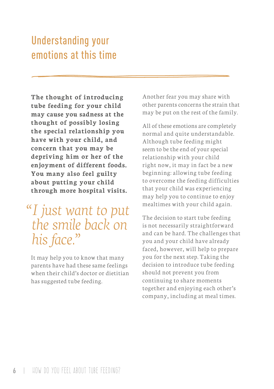### Understanding your emotions at this time

**The thought of introducing tube feeding for your child may cause you sadness at the thought of possibly losing the special relationship you have with your child, and concern that you may be depriving him or her of the enjoyment of different foods. You many also feel guilty about putting your child through more hospital visits.**

# *"I just want to put the smile back on his face."*

It may help you to know that many parents have had these same feelings when their child's doctor or dietitian has suggested tube feeding.

Another fear you may share with other parents concerns the strain that may be put on the rest of the family.

All of these emotions are completely normal and quite understandable. Although tube feeding might seem to be the end of your special relationship with your child right now, it may in fact be a new beginning: allowing tube feeding to overcome the feeding difficulties that your child was experiencing may help you to continue to enjoy mealtimes with your child again.

The decision to start tube feeding is not necessarily straightforward and can be hard. The challenges that you and your child have already faced, however, will help to prepare you for the next step. Taking the decision to introduce tube feeding should not prevent you from continuing to share moments together and enjoying each other's company, including at meal times.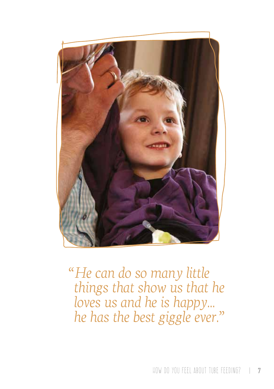

*"He can do so many little things that show us that he loves us and he is happy... he has the best giggle ever."*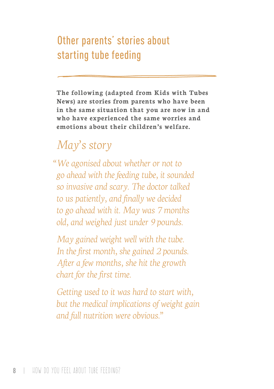### Other parents' stories about starting tube feeding

**The following (adapted from Kids with Tubes News) are stories from parents who have been in the same situation that you are now in and who have experienced the same worries and emotions about their children's welfare.**

## *May's story*

*"We agonised about whether or not to go ahead with the feeding tube, it sounded so invasive and scary. The doctor talked to us patiently, and finally we decided to go ahead with it. May was 7 months old, and weighed just under 9 pounds.*

*May gained weight well with the tube. In the first month, she gained 2 pounds. After a few months, she hit the growth chart for the first time.*

*Getting used to it was hard to start with, but the medical implications of weight gain and full nutrition were obvious."*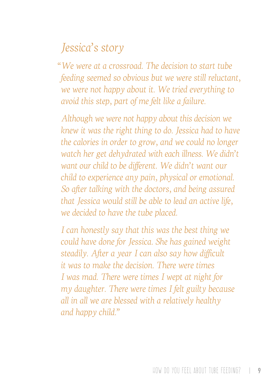# *Jessica's story*

*"We were at a crossroad. The decision to start tube feeding seemed so obvious but we were still reluctant, we were not happy about it. We tried everything to avoid this step, part of me felt like a failure.*

*Although we were not happy about this decision we knew it was the right thing to do. Jessica had to have the calories in order to grow, and we could no longer watch her get dehydrated with each illness. We didn't want our child to be different. We didn't want our child to experience any pain, physical or emotional. So after talking with the doctors, and being assured that Jessica would still be able to lead an active life, we decided to have the tube placed.*

*I can honestly say that this was the best thing we could have done for Jessica. She has gained weight steadily. After a year I can also say how difficult it was to make the decision. There were times I was mad. There were times I wept at night for my daughter. There were times I felt guilty because all in all we are blessed with a relatively healthy and happy child."*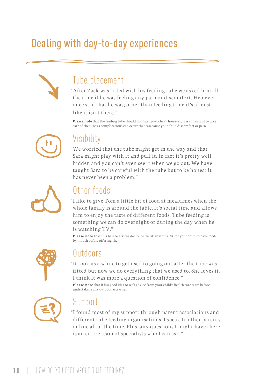# Dealing with day-to-day experiences



### Tube placement

"After Zack was fitted with his feeding tube we asked him all the time if he was feeling any pain or discomfort. He never once said that he was; other than feeding time it's almost like it isn't there."

**Please note** that the feeding tube should not hurt your child; however, it is important to take care of the tube as complications can occur that can cause your child discomfort or pain.



### **Visibility**

"We worried that the tube might get in the way and that Sara might play with it and pull it. In fact it's pretty well hidden and you can't even see it when we go out. We have taught Sara to be careful with the tube but to be honest it has never been a problem."



### Other foods

"I like to give Tom a little bit of food at mealtimes when the whole family is around the table. It's social time and allows him to enjoy the taste of different foods. Tube feeding is something we can do overnight or during the day when he is watching TV."

**Please note** that it is best to ask the doctor or dietitian if it is OK for your child to have foods by mouth before offering them.



### **Outdoors**

"It took us a while to get used to going out after the tube was fitted but now we do everything that we used to. She loves it. I think it was more a question of confidence."

**Please note** that it is a good idea to seek advice from your child's health care team before undertaking any outdoor activities.



### Support

"I found most of my support through parent associations and different tube feeding organisations. I speak to other parents online all of the time. Plus, any questions I might have there is an entire team of specialists who I can ask."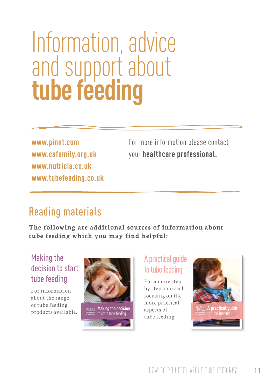# Information, advice and support about **tube feeding**

**www.pinnt.com www.cafamily.org.uk www.nutricia.co.uk www.tubefeeding.co.uk**

For more information please contact your **healthcare professional.**

### Reading materials

**The following are additional sources of information about tube feeding which you may find helpful:** 

### Making the decision to start tube feeding

For information about the range of tube feeding products available.



### A practical guide to tube feeding

For a more step by step approach focusing on the more practical aspects of tube feeding.

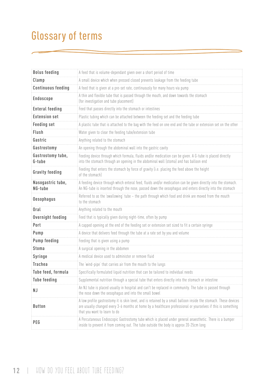# Glossary of terms

| <b>Bolus feeding</b>         | A feed that is volume-dependant given over a short period of time                                                                                                                                                                                                |  |  |
|------------------------------|------------------------------------------------------------------------------------------------------------------------------------------------------------------------------------------------------------------------------------------------------------------|--|--|
| Clamp                        | A small device which when pressed closed prevents leakage from the feeding tube                                                                                                                                                                                  |  |  |
| <b>Continuous feeding</b>    | A feed that is given at a pre-set rate, continuously for many hours via pump                                                                                                                                                                                     |  |  |
| <b>Endoscope</b>             | A thin and flexible tube that is passed through the mouth, and down towards the stomach<br>(for investigation and tube placement)                                                                                                                                |  |  |
| <b>Enteral feeding</b>       | Feed that passes directly into the stomach or intestines                                                                                                                                                                                                         |  |  |
| <b>Extension set</b>         | Plastic tubing which can be attached between the feeding set and the feeding tube                                                                                                                                                                                |  |  |
| <b>Feeding set</b>           | A plastic tube that is attached to the bag with the feed on one end and the tube or extension set on the other                                                                                                                                                   |  |  |
| Flush                        | Water given to clear the feeding tube/extension tube                                                                                                                                                                                                             |  |  |
| Gastric                      | Anything related to the stomach                                                                                                                                                                                                                                  |  |  |
| Gastrostomy                  | An opening through the abdominal wall into the gastric cavity                                                                                                                                                                                                    |  |  |
| Gastrostomy tube,<br>G-tube  | Feeding device through which formula, fluids and/or medication can be given. A G-tube is placed directly<br>into the stomach through an opening in the abdominal wall (stoma) and has balloon end                                                                |  |  |
| Gravity feeding              | Feeding that enters the stomach by force of gravity (i.e. placing the feed above the height<br>of the stomachl                                                                                                                                                   |  |  |
| Nasogastric tube,<br>NG-tube | A feeding device through which enteral feed, fluids and/or medication can be given directly into the stomach.<br>An NG-tube is inserted through the nose, passed down the oesophagus and enters directly into the stomach                                        |  |  |
| <b>Oesophagus</b>            | Referred to as the 'swallowing' tube - the path through which food and drink are moved from the mouth<br>to the stomach                                                                                                                                          |  |  |
| Oral                         | Anything related to the mouth                                                                                                                                                                                                                                    |  |  |
| Overnight feeding            | Feed that is typically given during night-time, often by pump                                                                                                                                                                                                    |  |  |
| Port                         | A capped opening at the end of the feeding set or extension set sized to fit a certain syringe                                                                                                                                                                   |  |  |
| Pump                         | A device that delivers feed through the tube at a rate set by you and volume                                                                                                                                                                                     |  |  |
| <b>Pump feeding</b>          | Feeding that is given using a pump                                                                                                                                                                                                                               |  |  |
| Stoma                        | A surgical opening in the abdomen                                                                                                                                                                                                                                |  |  |
| Syringe                      | A medical device used to administer or remove fluid                                                                                                                                                                                                              |  |  |
| <b>Trachea</b>               | The 'wind-pipe' that carries air from the mouth to the lungs                                                                                                                                                                                                     |  |  |
| Tube feed, formula           | Specifically formulated liquid nutrition that can be tailored to individual needs                                                                                                                                                                                |  |  |
| <b>Tube feeding</b>          | Supplemental nutrition through a special tube that enters directly into the stomach or intestine                                                                                                                                                                 |  |  |
| N J                          | An NJ tube is placed usually in hospital and can't be replaced in community. The tube is passed through<br>the nose down the oesophagus and into the small bowel                                                                                                 |  |  |
| <b>Button</b>                | A low profile gastrostomy it is skin level, and is retained by a small balloon inside the stomach. These devices<br>are usually changed every 3-6 months at home by a healthcare professional or yourselves if this is something<br>that you want to learn to do |  |  |
| PEG                          | A Percutaneous Endoscopic Gastrostomy tube which is placed under general anaesthetic. There is a bumper<br>inside to prevent it from coming out. The tube outside the body is approx 20-25cm long                                                                |  |  |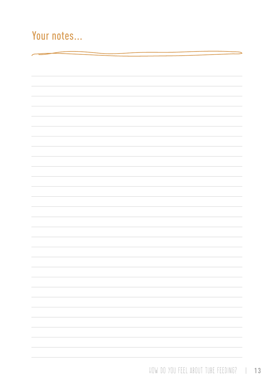# Your notes...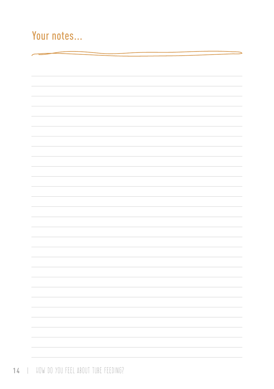# Your notes...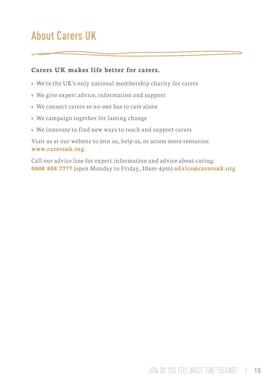### About Carers UK

#### **Carers UK makes life better for carers.**

- We're the UK's only national membership charity for carers
- We give expert advice, information and support
- We connect carers so no-one has to care alone
- We campaign together for lasting change
- We innovate to find new ways to reach and support carers

Visit us at our website to join us, help us, or access more resources: **www.carersuk.org** 

Call our advice line for expert information and advice about caring: **0808 808 7777** (open Monday to Friday, 10am-4pm) **advice@carersuk.org**